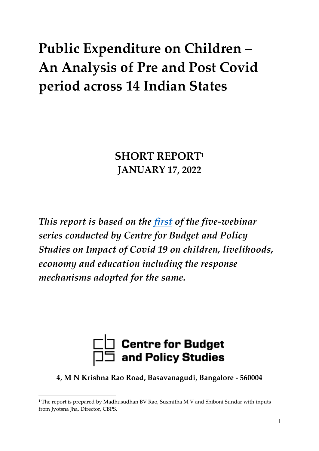# **Public Expenditure on Children – An Analysis of Pre and Post Covid period across 14 Indian States**

**SHORT REPORT<sup>1</sup> JANUARY 17, 2022**

*This report is based on the [first](https://www.youtube.com/watch?v=OAg0AhVMzlg) of the five-webinar series conducted by Centre for Budget and Policy Studies on Impact of Covid 19 on children, livelihoods, economy and education including the response mechanisms adopted for the same.*



**4, M N Krishna Rao Road, Basavanagudi, Bangalore - 560004**

<sup>&</sup>lt;sup>1</sup> The report is prepared by Madhusudhan BV Rao, Susmitha M V and Shiboni Sundar with inputs from Jyotsna Jha, Director, CBPS.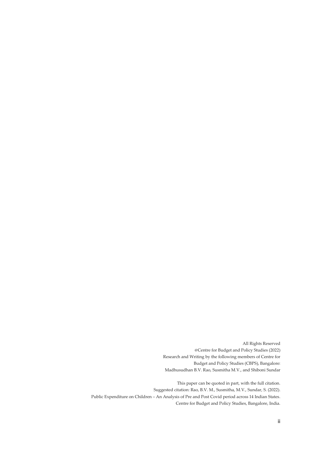All Rights Reserved @Centre for Budget and Policy Studies (2022) Research and Writing by the following members of Centre for Budget and Policy Studies (CBPS), Bangalore: Madhusudhan B.V. Rao, Susmitha M.V., and Shiboni Sundar

 This paper can be quoted in part, with the full citation. Suggested citation: Rao, B.V. M., Susmitha, M.V., Sundar, S. (2022). Public Expenditure on Children – An Analysis of Pre and Post Covid period across 14 Indian States. Centre for Budget and Policy Studies, Bangalore, India.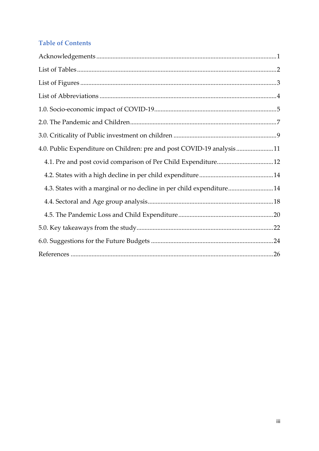#### **Table of Contents**

| 4.0. Public Expenditure on Children: pre and post COVID-19 analysis11 |  |
|-----------------------------------------------------------------------|--|
|                                                                       |  |
|                                                                       |  |
| 4.3. States with a marginal or no decline in per child expenditure14  |  |
|                                                                       |  |
|                                                                       |  |
|                                                                       |  |
|                                                                       |  |
|                                                                       |  |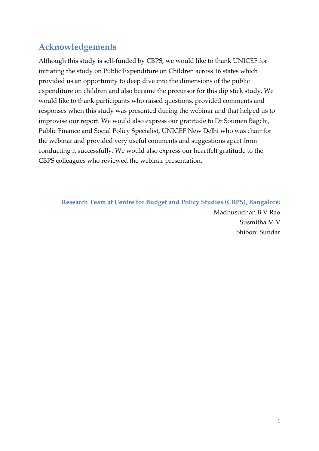## <span id="page-3-0"></span>**Acknowledgements**

Although this study is self-funded by CBPS, we would like to thank UNICEF for initiating the study on Public Expenditure on Children across 16 states which provided us an opportunity to deep dive into the dimensions of the public expenditure on children and also became the precursor for this dip stick study. We would like to thank participants who raised questions, provided comments and responses when this study was presented during the webinar and that helped us to improvise our report. We would also express our gratitude to Dr Soumen Bagchi, Public Finance and Social Policy Specialist, UNICEF New Delhi who was chair for the webinar and provided very useful comments and suggestions apart from conducting it successfully. We would also express our heartfelt gratitude to the CBPS colleagues who reviewed the webinar presentation.

**Research Team at Centre for Budget and Policy Studies (CBPS), Bangalore:** Madhusudhan B V Rao Susmitha M V Shiboni Sundar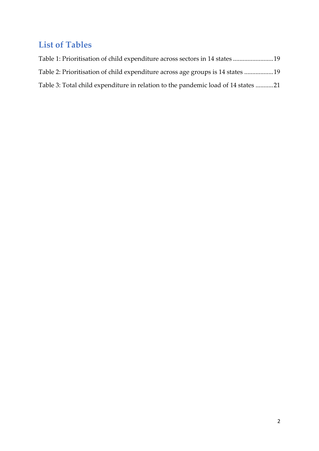## <span id="page-4-0"></span>**List of Tables**

| Table 1: Prioritisation of child expenditure across sectors in 14 states 19       |  |
|-----------------------------------------------------------------------------------|--|
| Table 2: Prioritisation of child expenditure across age groups is 14 states 19    |  |
| Table 3: Total child expenditure in relation to the pandemic load of 14 states 21 |  |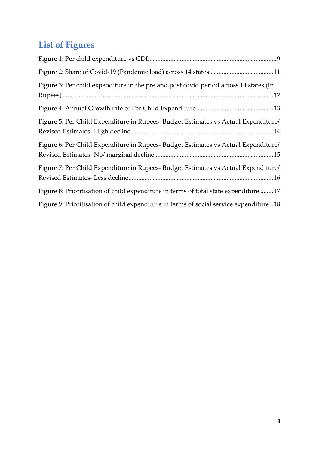## <span id="page-5-0"></span>**List of Figures**

| Figure 3: Per child expenditure in the pre and post covid period across 14 states (In  |
|----------------------------------------------------------------------------------------|
|                                                                                        |
| Figure 5: Per Child Expenditure in Rupees- Budget Estimates vs Actual Expenditure/     |
| Figure 6: Per Child Expenditure in Rupees- Budget Estimates vs Actual Expenditure/     |
| Figure 7: Per Child Expenditure in Rupees- Budget Estimates vs Actual Expenditure/     |
| Figure 8: Prioritisation of child expenditure in terms of total state expenditure 17   |
| Figure 9: Prioritisation of child expenditure in terms of social service expenditure18 |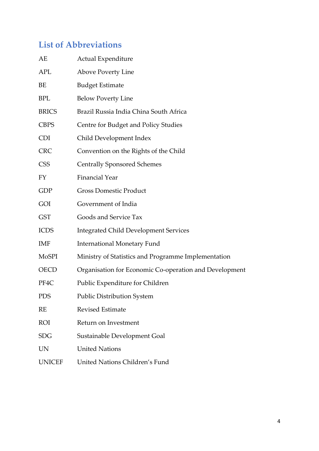## <span id="page-6-0"></span>**List of Abbreviations**

| AE            | Actual Expenditure                                     |
|---------------|--------------------------------------------------------|
| <b>APL</b>    | <b>Above Poverty Line</b>                              |
| BE            | <b>Budget Estimate</b>                                 |
| <b>BPL</b>    | <b>Below Poverty Line</b>                              |
| <b>BRICS</b>  | Brazil Russia India China South Africa                 |
| <b>CBPS</b>   | Centre for Budget and Policy Studies                   |
| <b>CDI</b>    | Child Development Index                                |
| <b>CRC</b>    | Convention on the Rights of the Child                  |
| <b>CSS</b>    | <b>Centrally Sponsored Schemes</b>                     |
| FY            | <b>Financial Year</b>                                  |
| <b>GDP</b>    | <b>Gross Domestic Product</b>                          |
| GOI           | Government of India                                    |
| <b>GST</b>    | Goods and Service Tax                                  |
| <b>ICDS</b>   | <b>Integrated Child Development Services</b>           |
| <b>IMF</b>    | <b>International Monetary Fund</b>                     |
| <b>MoSPI</b>  | Ministry of Statistics and Programme Implementation    |
| <b>OECD</b>   | Organisation for Economic Co-operation and Development |
| PF4C          | Public Expenditure for Children                        |
| <b>PDS</b>    | <b>Public Distribution System</b>                      |
| <b>RE</b>     | <b>Revised Estimate</b>                                |
| <b>ROI</b>    | Return on Investment                                   |
| <b>SDG</b>    | Sustainable Development Goal                           |
| <b>UN</b>     | <b>United Nations</b>                                  |
| <b>UNICEF</b> | United Nations Children's Fund                         |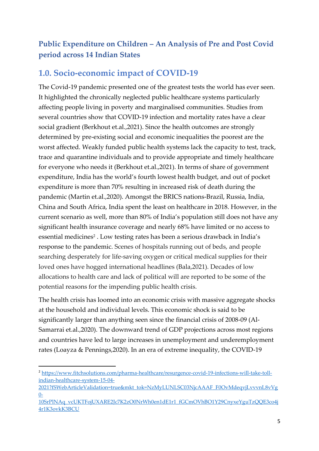## **Public Expenditure on Children – An Analysis of Pre and Post Covid period across 14 Indian States**

#### <span id="page-7-0"></span>**1.0. Socio-economic impact of COVID-19**

The Covid-19 pandemic presented one of the greatest tests the world has ever seen. It highlighted the chronically neglected public healthcare systems particularly affecting people living in poverty and marginalised communities. Studies from several countries show that COVID-19 infection and mortality rates have a clear social gradient (Berkhout et.al.,2021). Since the health outcomes are strongly determined by pre-existing social and economic inequalities the poorest are the worst affected. Weakly funded public health systems lack the capacity to test, track, trace and quarantine individuals and to provide appropriate and timely healthcare for everyone who needs it (Berkhout et.al.,2021). In terms of share of government expenditure, India has the world's fourth lowest health budget, and out of pocket expenditure is more than 70% resulting in increased risk of death during the pandemic (Martin et.al.,2020). Amongst the BRICS nations-Brazil, Russia, India, China and South Africa, India spent the least on healthcare in 2018. However, in the current scenario as well, more than 80% of India's population still does not have any significant health insurance coverage and nearly 68% have limited or no access to essential medicines<sup>2</sup>. Low testing rates has been a serious drawback in India's response to the pandemic. Scenes of hospitals running out of beds, and people searching desperately for life-saving oxygen or critical medical supplies for their loved ones have hogged international headlines (Bala,2021). Decades of low allocations to health care and lack of political will are reported to be some of the potential reasons for the impending public health crisis.

The health crisis has loomed into an economic crisis with massive aggregate shocks at the household and individual levels. This economic shock is said to be significantly larger than anything seen since the financial crisis of 2008-09 (Al-Samarrai et.al.,2020). The downward trend of GDP projections across most regions and countries have led to large increases in unemployment and underemployment rates (Loayza & Pennings,2020). In an era of extreme inequality, the COVID-19

<sup>2</sup> [https://www.fitchsolutions.com/pharma-healthcare/resurgence-covid-19-infections-will-take-toll](https://www.fitchsolutions.com/pharma-healthcare/resurgence-covid-19-infections-will-take-toll-indian-healthcare-system-15-04-2021?fSWebArticleValidation=true&mkt_tok=NzMyLUNLSC03NjcAAAF_F0OvMdeqvjLvvvnL8vVg0-10SrPlNAq_vcUKTFojUXARE2Jc7K2zO0NrWh0en1dE1r1_fGCmOVhBO1Y29CnyxeYguTzQQE3co4j4r1K3ovkK3BCU)[indian-healthcare-system-15-04-](https://www.fitchsolutions.com/pharma-healthcare/resurgence-covid-19-infections-will-take-toll-indian-healthcare-system-15-04-2021?fSWebArticleValidation=true&mkt_tok=NzMyLUNLSC03NjcAAAF_F0OvMdeqvjLvvvnL8vVg0-10SrPlNAq_vcUKTFojUXARE2Jc7K2zO0NrWh0en1dE1r1_fGCmOVhBO1Y29CnyxeYguTzQQE3co4j4r1K3ovkK3BCU)

[<sup>2021?</sup>fSWebArticleValidation=true&mkt\\_tok=NzMyLUNLSC03NjcAAAF\\_F0OvMdeqvjLvvvnL8vVg](https://www.fitchsolutions.com/pharma-healthcare/resurgence-covid-19-infections-will-take-toll-indian-healthcare-system-15-04-2021?fSWebArticleValidation=true&mkt_tok=NzMyLUNLSC03NjcAAAF_F0OvMdeqvjLvvvnL8vVg0-10SrPlNAq_vcUKTFojUXARE2Jc7K2zO0NrWh0en1dE1r1_fGCmOVhBO1Y29CnyxeYguTzQQE3co4j4r1K3ovkK3BCU)  $0-$ 

[<sup>10</sup>SrPlNAq\\_vcUKTFojUXARE2Jc7K2zO0NrWh0en1dE1r1\\_fGCmOVhBO1Y29CnyxeYguTzQQE3co4j](https://www.fitchsolutions.com/pharma-healthcare/resurgence-covid-19-infections-will-take-toll-indian-healthcare-system-15-04-2021?fSWebArticleValidation=true&mkt_tok=NzMyLUNLSC03NjcAAAF_F0OvMdeqvjLvvvnL8vVg0-10SrPlNAq_vcUKTFojUXARE2Jc7K2zO0NrWh0en1dE1r1_fGCmOVhBO1Y29CnyxeYguTzQQE3co4j4r1K3ovkK3BCU) [4r1K3ovkK3BCU](https://www.fitchsolutions.com/pharma-healthcare/resurgence-covid-19-infections-will-take-toll-indian-healthcare-system-15-04-2021?fSWebArticleValidation=true&mkt_tok=NzMyLUNLSC03NjcAAAF_F0OvMdeqvjLvvvnL8vVg0-10SrPlNAq_vcUKTFojUXARE2Jc7K2zO0NrWh0en1dE1r1_fGCmOVhBO1Y29CnyxeYguTzQQE3co4j4r1K3ovkK3BCU)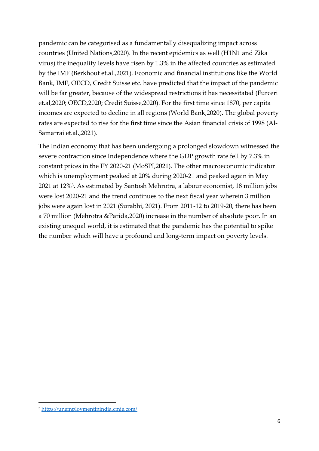pandemic can be categorised as a fundamentally disequalizing impact across countries (United Nations,2020). In the recent epidemics as well (H1N1 and Zika virus) the inequality levels have risen by 1.3% in the affected countries as estimated by the IMF (Berkhout et.al.,2021). Economic and financial institutions like the World Bank, IMF, OECD, Credit Suisse etc. have predicted that the impact of the pandemic will be far greater, because of the widespread restrictions it has necessitated (Furceri et.al,2020; OECD,2020; Credit Suisse,2020). For the first time since 1870, per capita incomes are expected to decline in all regions (World Bank,2020). The global poverty rates are expected to rise for the first time since the Asian financial crisis of 1998 (Al-Samarrai et.al.,2021).

The Indian economy that has been undergoing a prolonged slowdown witnessed the severe contraction since Independence where the GDP growth rate fell by 7.3% in constant prices in the FY 2020-21 (MoSPI,2021). The other macroeconomic indicator which is unemployment peaked at 20% during 2020-21 and peaked again in May 2021 at 12%<sup>3</sup> . As estimated by Santosh Mehrotra, a labour economist, 18 million jobs were lost 2020-21 and the trend continues to the next fiscal year wherein 3 million jobs were again lost in 2021 (Surabhi, 2021). From 2011-12 to 2019-20, there has been a 70 million (Mehrotra &Parida,2020) increase in the number of absolute poor. In an existing unequal world, it is estimated that the pandemic has the potential to spike the number which will have a profound and long-term impact on poverty levels.

<sup>3</sup> <https://unemploymentinindia.cmie.com/>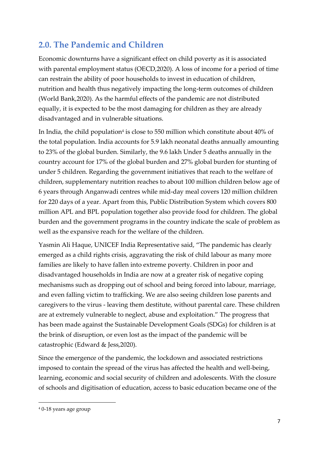## <span id="page-9-0"></span>**2.0. The Pandemic and Children**

Economic downturns have a significant effect on child poverty as it is associated with parental employment status (OECD,2020). A loss of income for a period of time can restrain the ability of poor households to invest in education of children, nutrition and health thus negatively impacting the long-term outcomes of children (World Bank,2020). As the harmful effects of the pandemic are not distributed equally, it is expected to be the most damaging for children as they are already disadvantaged and in vulnerable situations.

In India, the child population<sup>4</sup> is close to 550 million which constitute about  $40\%$  of the total population. India accounts for 5.9 lakh neonatal deaths annually amounting to 23% of the global burden. Similarly, the 9.6 lakh Under 5 deaths annually in the country account for 17% of the global burden and 27% global burden for stunting of under 5 children. Regarding the government initiatives that reach to the welfare of children, supplementary nutrition reaches to about 100 million children below age of 6 years through Anganwadi centres while mid-day meal covers 120 million children for 220 days of a year. Apart from this, Public Distribution System which covers 800 million APL and BPL population together also provide food for children. The global burden and the government programs in the country indicate the scale of problem as well as the expansive reach for the welfare of the children.

Yasmin Ali Haque, UNICEF India Representative said, "The pandemic has clearly emerged as a child rights crisis, aggravating the risk of child labour as many more families are likely to have fallen into extreme poverty. Children in poor and disadvantaged households in India are now at a greater risk of negative coping mechanisms such as dropping out of school and being forced into labour, marriage, and even falling victim to trafficking. We are also seeing children lose parents and caregivers to the virus - leaving them destitute, without parental care. These children are at extremely vulnerable to neglect, abuse and exploitation." The progress that has been made against the Sustainable Development Goals (SDGs) for children is at the brink of disruption, or even lost as the impact of the pandemic will be catastrophic (Edward & Jess,2020).

Since the emergence of the pandemic, the lockdown and associated restrictions imposed to contain the spread of the virus has affected the health and well-being, learning, economic and social security of children and adolescents. With the closure of schools and digitisation of education, access to basic education became one of the

<sup>4</sup> 0-18 years age group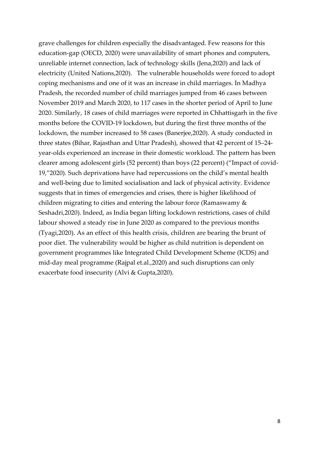grave challenges for children especially the disadvantaged. Few reasons for this education-gap (OECD, 2020) were unavailability of smart phones and computers, unreliable internet connection, lack of technology skills (Jena,2020) and lack of electricity (United Nations,2020). The vulnerable households were forced to adopt coping mechanisms and one of it was an increase in child marriages. In Madhya Pradesh, the recorded number of child marriages jumped from 46 cases between November 2019 and March 2020, to 117 cases in the shorter period of April to June 2020. Similarly, 18 cases of child marriages were reported in Chhattisgarh in the five months before the COVID-19 lockdown, but during the first three months of the lockdown, the number increased to 58 cases (Banerjee,2020). A study conducted in three states (Bihar, Rajasthan and Uttar Pradesh), showed that 42 percent of 15–24 year-olds experienced an increase in their domestic workload. The pattern has been clearer among adolescent girls (52 percent) than boys (22 percent) ("Impact of covid-19,"2020). Such deprivations have had repercussions on the child's mental health and well-being due to limited socialisation and lack of physical activity. Evidence suggests that in times of emergencies and crises, there is higher likelihood of children migrating to cities and entering the labour force (Ramaswamy & Seshadri,2020). Indeed, as India began lifting lockdown restrictions, cases of child labour showed a steady rise in June 2020 as compared to the previous months (Tyagi,2020). As an effect of this health crisis, children are bearing the brunt of poor diet. The vulnerability would be higher as child nutrition is dependent on government programmes like Integrated Child Development Scheme (ICDS) and mid-day meal programme (Rajpal et.al.,2020) and such disruptions can only exacerbate food insecurity (Alvi & Gupta,2020).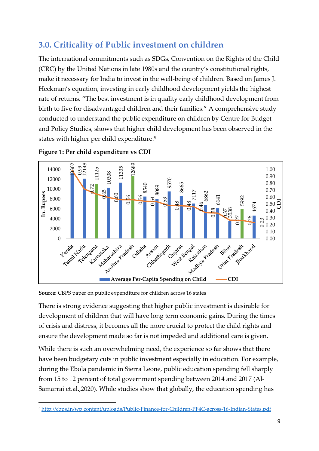## <span id="page-11-0"></span>**3.0. Criticality of Public investment on children**

The international commitments such as SDGs, Convention on the Rights of the Child (CRC) by the United Nations in late 1980s and the country's constitutional rights, make it necessary for India to invest in the well-being of children. Based on James J. Heckman's equation, investing in early childhood development yields the highest rate of returns. "The best investment is in quality early childhood development from birth to five for disadvantaged children and their families." A comprehensive study conducted to understand the public expenditure on children by Centre for Budget and Policy Studies, shows that higher child development has been observed in the states with higher per child expenditure.<sup>5</sup>



<span id="page-11-1"></span>**Figure 1: Per child expenditure vs CDI**

**Source:** CBPS paper on public expenditure for children across 16 states

There is strong evidence suggesting that higher public investment is desirable for development of children that will have long term economic gains. During the times of crisis and distress, it becomes all the more crucial to protect the child rights and ensure the development made so far is not impeded and additional care is given.

While there is such an overwhelming need, the experience so far shows that there have been budgetary cuts in public investment especially in education. For example, during the Ebola pandemic in Sierra Leone, public education spending fell sharply from 15 to 12 percent of total government spending between 2014 and 2017 (Al-Samarrai et.al.,2020). While studies show that globally, the education spending has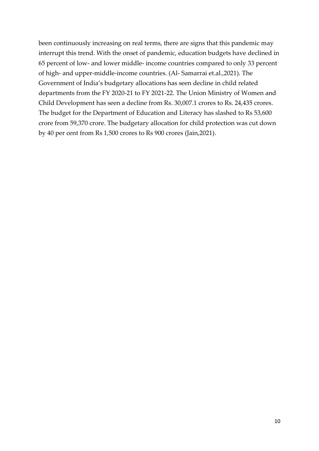been continuously increasing on real terms, there are signs that this pandemic may interrupt this trend. With the onset of pandemic, education budgets have declined in 65 percent of low- and lower middle- income countries compared to only 33 percent of high- and upper-middle-income countries. (Al- Samarrai et.al.,2021). The Government of India's budgetary allocations has seen decline in child related departments from the FY 2020-21 to FY 2021-22. The Union Ministry of Women and Child Development has seen a decline from Rs. 30,007.1 crores to Rs. 24,435 crores. The budget for the Department of Education and Literacy has slashed to Rs 53,600 crore from 59,370 crore. The budgetary allocation for child protection was cut down by 40 per cent from Rs 1,500 crores to Rs 900 crores (Jain,2021).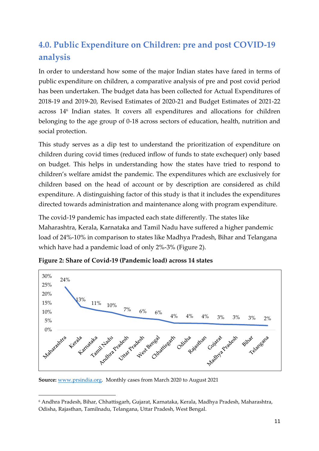## <span id="page-13-0"></span>**4.0. Public Expenditure on Children: pre and post COVID-19 analysis**

In order to understand how some of the major Indian states have fared in terms of public expenditure on children, a comparative analysis of pre and post covid period has been undertaken. The budget data has been collected for Actual Expenditures of 2018-19 and 2019-20, Revised Estimates of 2020-21 and Budget Estimates of 2021-22 across 14<sup>6</sup> Indian states. It covers all expenditures and allocations for children belonging to the age group of 0-18 across sectors of education, health, nutrition and social protection.

This study serves as a dip test to understand the prioritization of expenditure on children during covid times (reduced inflow of funds to state exchequer) only based on budget. This helps in understanding how the states have tried to respond to children's welfare amidst the pandemic. The expenditures which are exclusively for children based on the head of account or by description are considered as child expenditure. A distinguishing factor of this study is that it includes the expenditures directed towards administration and maintenance along with program expenditure.

The covid-19 pandemic has impacted each state differently. The states like Maharashtra, Kerala, Karnataka and Tamil Nadu have suffered a higher pandemic load of 24%-10% in comparison to states like Madhya Pradesh, Bihar and Telangana which have had a pandemic load of only 2%-3% (Figure 2).



<span id="page-13-1"></span>**Figure 2: Share of Covid-19 (Pandemic load) across 14 states**

**Source:** [www.prsindia.org.](http://www.prsindia.org/) Monthly cases from March 2020 to August 2021

<sup>6</sup> Andhra Pradesh, Bihar, Chhattisgarh, Gujarat, Karnataka, Kerala, Madhya Pradesh, Maharashtra, Odisha, Rajasthan, Tamilnadu, Telangana, Uttar Pradesh, West Bengal.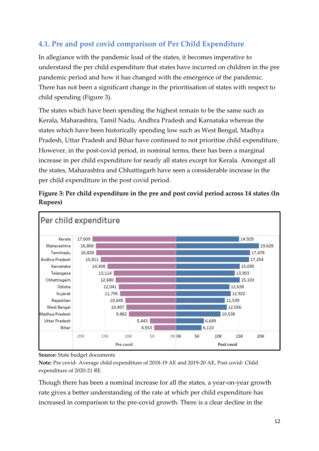#### <span id="page-14-0"></span>**4.1. Pre and post covid comparison of Per Child Expenditure**

In allegiance with the pandemic load of the states, it becomes imperative to understand the per child expenditure that states have incurred on children in the pre pandemic period and how it has changed with the emergence of the pandemic. There has not been a significant change in the prioritisation of states with respect to child spending (Figure 3).

The states which have been spending the highest remain to be the same such as Kerala, Maharashtra, Tamil Nadu, Andhra Pradesh and Karnataka whereas the states which have been historically spending low such as West Bengal, Madhya Pradesh, Uttar Pradesh and Bihar have continued to not prioritise child expenditure. However, in the post-covid period, in nominal terms, there has been a marginal increase in per child expenditure for nearly all states except for Kerala. Amongst all the states, Maharashtra and Chhattisgarh have seen a considerable increase in the per child expenditure in the post covid period.



<span id="page-14-1"></span>**Figure 3: Per child expenditure in the pre and post covid period across 14 states (In Rupees)**

**Source:** State budget documents

**Note:** Pre covid- Average child expenditure of 2018-19 AE and 2019-20 AE, Post covid- Child expenditure of 2020-21 RE

Though there has been a nominal increase for all the states, a year-on-year growth rate gives a better understanding of the rate at which per child expenditure has increased in comparison to the pre-covid growth. There is a clear decline in the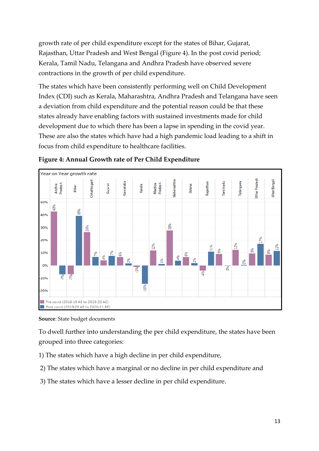growth rate of per child expenditure except for the states of Bihar, Gujarat, Rajasthan, Uttar Pradesh and West Bengal (Figure 4). In the post covid period; Kerala, Tamil Nadu, Telangana and Andhra Pradesh have observed severe contractions in the growth of per child expenditure.

The states which have been consistently performing well on Child Development Index (CDI) such as Kerala, Maharashtra, Andhra Pradesh and Telangana have seen a deviation from child expenditure and the potential reason could be that these states already have enabling factors with sustained investments made for child development due to which there has been a lapse in spending in the covid year. These are also the states which have had a high pandemic load leading to a shift in focus from child expenditure to healthcare facilities.



<span id="page-15-0"></span>**Figure 4: Annual Growth rate of Per Child Expenditure**

To dwell further into understanding the per child expenditure, the states have been grouped into three categories:

- 1) The states which have a high decline in per child expenditure,
- 2) The states which have a marginal or no decline in per child expenditure and
- 3) The states which have a lesser decline in per child expenditure.

**Source**: State budget documents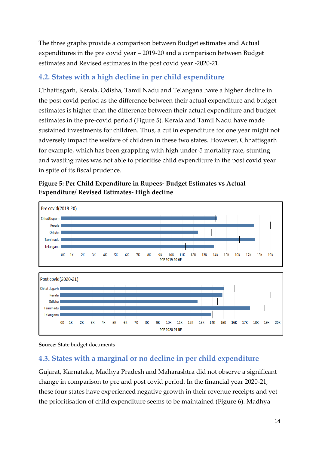The three graphs provide a comparison between Budget estimates and Actual expenditures in the pre covid year – 2019-20 and a comparison between Budget estimates and Revised estimates in the post covid year -2020-21.

#### <span id="page-16-0"></span>**4.2. States with a high decline in per child expenditure**

Chhattisgarh, Kerala, Odisha, Tamil Nadu and Telangana have a higher decline in the post covid period as the difference between their actual expenditure and budget estimates is higher than the difference between their actual expenditure and budget estimates in the pre-covid period (Figure 5). Kerala and Tamil Nadu have made sustained investments for children. Thus, a cut in expenditure for one year might not adversely impact the welfare of children in these two states. However, Chhattisgarh for example, which has been grappling with high under-5 mortality rate, stunting and wasting rates was not able to prioritise child expenditure in the post covid year in spite of its fiscal prudence.

<span id="page-16-2"></span>





#### <span id="page-16-1"></span>**4.3. States with a marginal or no decline in per child expenditure**

Gujarat, Karnataka, Madhya Pradesh and Maharashtra did not observe a significant change in comparison to pre and post covid period. In the financial year 2020-21, these four states have experienced negative growth in their revenue receipts and yet the prioritisation of child expenditure seems to be maintained (Figure 6). Madhya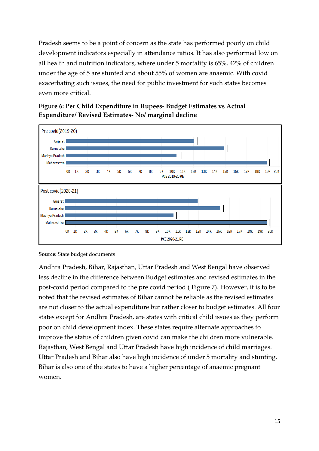Pradesh seems to be a point of concern as the state has performed poorly on child development indicators especially in attendance ratios. It has also performed low on all health and nutrition indicators, where under 5 mortality is 65%, 42% of children under the age of 5 are stunted and about 55% of women are anaemic. With covid exacerbating such issues, the need for public investment for such states becomes even more critical.



<span id="page-17-0"></span>

**Source:** State budget documents

Andhra Pradesh, Bihar, Rajasthan, Uttar Pradesh and West Bengal have observed less decline in the difference between Budget estimates and revised estimates in the post-covid period compared to the pre covid period ( Figure 7). However, it is to be noted that the revised estimates of Bihar cannot be reliable as the revised estimates are not closer to the actual expenditure but rather closer to budget estimates. All four states except for Andhra Pradesh, are states with critical child issues as they perform poor on child development index. These states require alternate approaches to improve the status of children given covid can make the children more vulnerable. Rajasthan, West Bengal and Uttar Pradesh have high incidence of child marriages. Uttar Pradesh and Bihar also have high incidence of under 5 mortality and stunting. Bihar is also one of the states to have a higher percentage of anaemic pregnant women.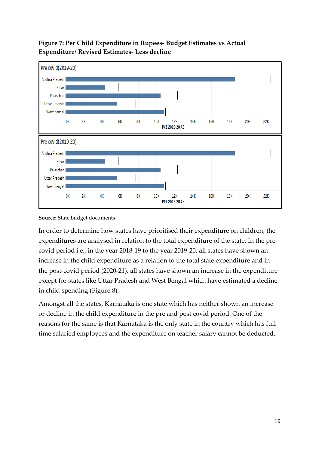

#### <span id="page-18-0"></span>**Figure 7: Per Child Expenditure in Rupees- Budget Estimates vs Actual Expenditure/ Revised Estimates- Less decline**

In order to determine how states have prioritised their expenditure on children, the expenditures are analysed in relation to the total expenditure of the state. In the precovid period i.e., in the year 2018-19 to the year 2019-20, all states have shown an increase in the child expenditure as a relation to the total state expenditure and in the post-covid period (2020-21), all states have shown an increase in the expenditure except for states like Uttar Pradesh and West Bengal which have estimated a decline in child spending (Figure 8).

Amongst all the states, Karnataka is one state which has neither shown an increase or decline in the child expenditure in the pre and post covid period. One of the reasons for the same is that Karnataka is the only state in the country which has full time salaried employees and the expenditure on teacher salary cannot be deducted.

**Source:** State budget documents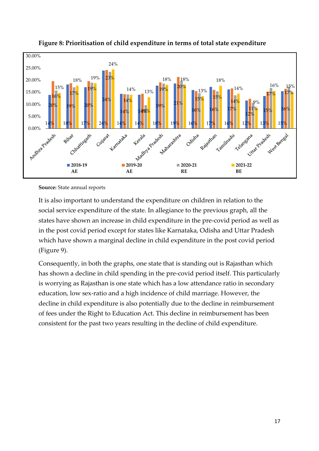

<span id="page-19-0"></span>

**Source:** State annual reports

It is also important to understand the expenditure on children in relation to the social service expenditure of the state. In allegiance to the previous graph, all the states have shown an increase in child expenditure in the pre-covid period as well as in the post covid period except for states like Karnataka, Odisha and Uttar Pradesh which have shown a marginal decline in child expenditure in the post covid period (Figure 9).

Consequently, in both the graphs, one state that is standing out is Rajasthan which has shown a decline in child spending in the pre-covid period itself. This particularly is worrying as Rajasthan is one state which has a low attendance ratio in secondary education, low sex-ratio and a high incidence of child marriage. However, the decline in child expenditure is also potentially due to the decline in reimbursement of fees under the Right to Education Act. This decline in reimbursement has been consistent for the past two years resulting in the decline of child expenditure.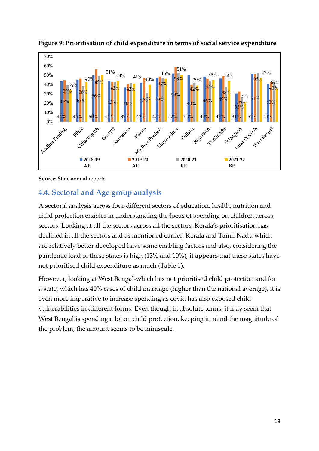

<span id="page-20-2"></span>

**Source:** State annual reports

#### <span id="page-20-0"></span>**4.4. Sectoral and Age group analysis**

A sectoral analysis across four different sectors of education, health, nutrition and child protection enables in understanding the focus of spending on children across sectors. Looking at all the sectors across all the sectors, Kerala's prioritisation has declined in all the sectors and as mentioned earlier, Kerala and Tamil Nadu which are relatively better developed have some enabling factors and also, considering the pandemic load of these states is high (13% and 10%), it appears that these states have not prioritised child expenditure as much (Table 1).

<span id="page-20-1"></span>However, looking at West Bengal-which has not prioritised child protection and for a state, which has 40% cases of child marriage (higher than the national average), it is even more imperative to increase spending as covid has also exposed child vulnerabilities in different forms. Even though in absolute terms, it may seem that West Bengal is spending a lot on child protection, keeping in mind the magnitude of the problem, the amount seems to be miniscule.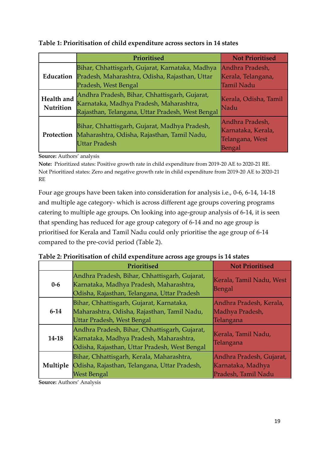|                         | Prioritised                                                                                                                                  | <b>Not Prioritised</b>                                             |
|-------------------------|----------------------------------------------------------------------------------------------------------------------------------------------|--------------------------------------------------------------------|
|                         | Bihar, Chhattisgarh, Gujarat, Karnataka, Madhya<br>Education Pradesh, Maharashtra, Odisha, Rajasthan, Uttar<br>Pradesh, West Bengal          | Andhra Pradesh,<br>Kerala, Telangana,<br><b>Tamil Nadu</b>         |
| Health and<br>Nutrition | Andhra Pradesh, Bihar, Chhattisgarh, Gujarat,<br>Karnataka, Madhya Pradesh, Maharashtra,<br>Rajasthan, Telangana, Uttar Pradesh, West Bengal | Kerala, Odisha, Tamil<br>Nadu                                      |
| Protection              | Bihar, Chhattisgarh, Gujarat, Madhya Pradesh,<br>Maharashtra, Odisha, Rajasthan, Tamil Nadu,<br><b>Uttar Pradesh</b>                         | Andhra Pradesh,<br>Karnataka, Kerala,<br>Telangana, West<br>Bengal |

**Table 1: Prioritisation of child expenditure across sectors in 14 states**

**Source:** Authors' analysis

**Note:** Prioritized states: Positive growth rate in child expenditure from 2019-20 AE to 2020-21 RE. Not Prioritized states: Zero and negative growth rate in child expenditure from 2019-20 AE to 2020-21 RE

Four age groups have been taken into consideration for analysis i.e., 0-6, 6-14, 14-18 and multiple age category- which is across different age groups covering programs catering to multiple age groups. On looking into age-group analysis of 6-14, it is seen that spending has reduced for age group category of 6-14 and no age group is prioritised for Kerala and Tamil Nadu could only prioritise the age group of 6-14 compared to the pre-covid period (Table 2).

|          | Prioritised                                                                                                                               | <b>Not Prioritised</b>                                               |
|----------|-------------------------------------------------------------------------------------------------------------------------------------------|----------------------------------------------------------------------|
| $0-6$    | Andhra Pradesh, Bihar, Chhattisgarh, Gujarat,<br>Karnataka, Madhya Pradesh, Maharashtra,<br>Odisha, Rajasthan, Telangana, Uttar Pradesh   | Kerala, Tamil Nadu, West<br>Bengal                                   |
| $6 - 14$ | Bihar, Chhattisgarh, Gujarat, Karnataka,<br>Maharashtra, Odisha, Rajasthan, Tamil Nadu,<br><b>Uttar Pradesh, West Bengal</b>              | Andhra Pradesh, Kerala,<br>Madhya Pradesh,<br>Telangana              |
| 14-18    | Andhra Pradesh, Bihar, Chhattisgarh, Gujarat,<br>Karnataka, Madhya Pradesh, Maharashtra,<br>Odisha, Rajasthan, Uttar Pradesh, West Bengal | Kerala, Tamil Nadu,<br>Telangana                                     |
| Multiple | Bihar, Chhattisgarh, Kerala, Maharashtra,<br>Odisha, Rajasthan, Telangana, Uttar Pradesh,<br><b>West Bengal</b>                           | Andhra Pradesh, Gujarat,<br>Karnataka, Madhya<br>Pradesh, Tamil Nadu |

<span id="page-21-0"></span>**Table 2: Prioritisation of child expenditure across age groups is 14 states**

**Source:** Authors' Analysis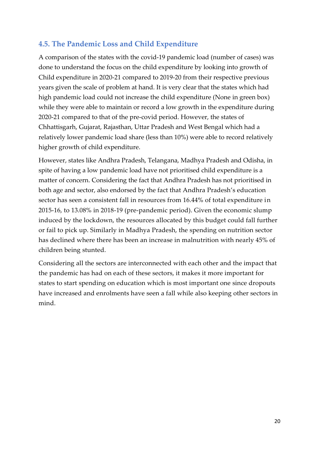#### <span id="page-22-0"></span>**4.5. The Pandemic Loss and Child Expenditure**

A comparison of the states with the covid-19 pandemic load (number of cases) was done to understand the focus on the child expenditure by looking into growth of Child expenditure in 2020-21 compared to 2019-20 from their respective previous years given the scale of problem at hand. It is very clear that the states which had high pandemic load could not increase the child expenditure (None in green box) while they were able to maintain or record a low growth in the expenditure during 2020-21 compared to that of the pre-covid period. However, the states of Chhattisgarh, Gujarat, Rajasthan, Uttar Pradesh and West Bengal which had a relatively lower pandemic load share (less than 10%) were able to record relatively higher growth of child expenditure.

However, states like Andhra Pradesh, Telangana, Madhya Pradesh and Odisha, in spite of having a low pandemic load have not prioritised child expenditure is a matter of concern. Considering the fact that Andhra Pradesh has not prioritised in both age and sector, also endorsed by the fact that Andhra Pradesh's education sector has seen a consistent fall in resources from 16.44% of total expenditure in 2015-16, to 13.08% in 2018-19 (pre-pandemic period). Given the economic slump induced by the lockdown, the resources allocated by this budget could fall further or fail to pick up. Similarly in Madhya Pradesh, the spending on nutrition sector has declined where there has been an increase in malnutrition with nearly 45% of children being stunted.

<span id="page-22-1"></span>Considering all the sectors are interconnected with each other and the impact that the pandemic has had on each of these sectors, it makes it more important for states to start spending on education which is most important one since dropouts have increased and enrolments have seen a fall while also keeping other sectors in mind.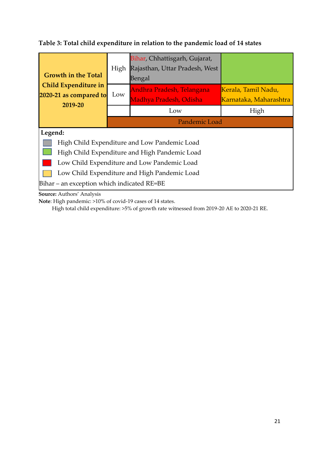#### **Table 3: Total child expenditure in relation to the pandemic load of 14 states**

| <b>Growth in the Total</b>                     | High | Bihar, Chhattisgarh, Gujarat,<br>Rajasthan, Uttar Pradesh, West<br>Bengal |                                               |
|------------------------------------------------|------|---------------------------------------------------------------------------|-----------------------------------------------|
| Child Expenditure in<br>2020-21 as compared to | Low  | Andhra Pradesh, Telangana<br>Madhya Pradesh, Odisha                       | Kerala, Tamil Nadu,<br>Karnataka, Maharashtra |
| 2019-20                                        |      | Low                                                                       | High                                          |
|                                                |      | Pandemic Load                                                             |                                               |
| Legend:                                        |      |                                                                           |                                               |
| High Child Expenditure and Low Pandemic Load   |      |                                                                           |                                               |
| High Child Expenditure and High Pandemic Load  |      |                                                                           |                                               |
| Low Child Expenditure and Low Pandemic Load    |      |                                                                           |                                               |
| Low Child Expenditure and High Pandemic Load   |      |                                                                           |                                               |
| Bihar - an exception which indicated RE=BE     |      |                                                                           |                                               |

**Source:** Authors' Analysis

**Note**: High pandemic: >10% of covid-19 cases of 14 states.

High total child expenditure: >5% of growth rate witnessed from 2019-20 AE to 2020-21 RE.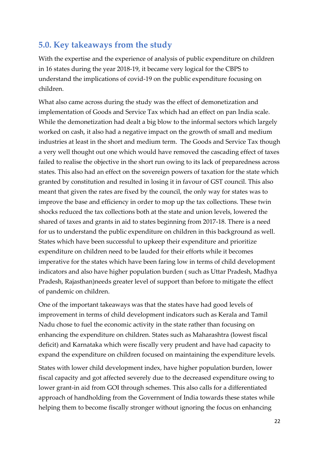#### <span id="page-24-0"></span>**5.0. Key takeaways from the study**

With the expertise and the experience of analysis of public expenditure on children in 16 states during the year 2018-19, it became very logical for the CBPS to understand the implications of covid-19 on the public expenditure focusing on children.

What also came across during the study was the effect of demonetization and implementation of Goods and Service Tax which had an effect on pan India scale. While the demonetization had dealt a big blow to the informal sectors which largely worked on cash, it also had a negative impact on the growth of small and medium industries at least in the short and medium term. The Goods and Service Tax though a very well thought out one which would have removed the cascading effect of taxes failed to realise the objective in the short run owing to its lack of preparedness across states. This also had an effect on the sovereign powers of taxation for the state which granted by constitution and resulted in losing it in favour of GST council. This also meant that given the rates are fixed by the council, the only way for states was to improve the base and efficiency in order to mop up the tax collections. These twin shocks reduced the tax collections both at the state and union levels, lowered the shared of taxes and grants in aid to states beginning from 2017-18. There is a need for us to understand the public expenditure on children in this background as well. States which have been successful to upkeep their expenditure and prioritize expenditure on children need to be lauded for their efforts while it becomes imperative for the states which have been faring low in terms of child development indicators and also have higher population burden ( such as Uttar Pradesh, Madhya Pradesh, Rajasthan)needs greater level of support than before to mitigate the effect of pandemic on children.

One of the important takeaways was that the states have had good levels of improvement in terms of child development indicators such as Kerala and Tamil Nadu chose to fuel the economic activity in the state rather than focusing on enhancing the expenditure on children. States such as Maharashtra (lowest fiscal deficit) and Karnataka which were fiscally very prudent and have had capacity to expand the expenditure on children focused on maintaining the expenditure levels.

States with lower child development index, have higher population burden, lower fiscal capacity and got affected severely due to the decreased expenditure owing to lower grant-in aid from GOI through schemes. This also calls for a differentiated approach of handholding from the Government of India towards these states while helping them to become fiscally stronger without ignoring the focus on enhancing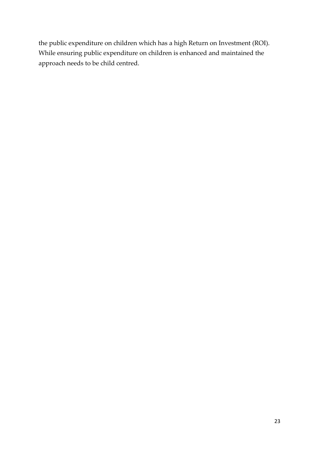the public expenditure on children which has a high Return on Investment (ROI). While ensuring public expenditure on children is enhanced and maintained the approach needs to be child centred.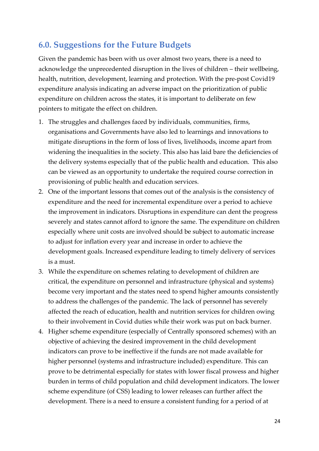### <span id="page-26-0"></span>**6.0. Suggestions for the Future Budgets**

Given the pandemic has been with us over almost two years, there is a need to acknowledge the unprecedented disruption in the lives of children – their wellbeing, health, nutrition, development, learning and protection. With the pre-post Covid19 expenditure analysis indicating an adverse impact on the prioritization of public expenditure on children across the states, it is important to deliberate on few pointers to mitigate the effect on children.

- 1. The struggles and challenges faced by individuals, communities, firms, organisations and Governments have also led to learnings and innovations to mitigate disruptions in the form of loss of lives, livelihoods, income apart from widening the inequalities in the society. This also has laid bare the deficiencies of the delivery systems especially that of the public health and education. This also can be viewed as an opportunity to undertake the required course correction in provisioning of public health and education services.
- 2. One of the important lessons that comes out of the analysis is the consistency of expenditure and the need for incremental expenditure over a period to achieve the improvement in indicators. Disruptions in expenditure can dent the progress severely and states cannot afford to ignore the same. The expenditure on children especially where unit costs are involved should be subject to automatic increase to adjust for inflation every year and increase in order to achieve the development goals. Increased expenditure leading to timely delivery of services is a must.
- 3. While the expenditure on schemes relating to development of children are critical, the expenditure on personnel and infrastructure (physical and systems) become very important and the states need to spend higher amounts consistently to address the challenges of the pandemic. The lack of personnel has severely affected the reach of education, health and nutrition services for children owing to their involvement in Covid duties while their work was put on back burner.
- 4. Higher scheme expenditure (especially of Centrally sponsored schemes) with an objective of achieving the desired improvement in the child development indicators can prove to be ineffective if the funds are not made available for higher personnel (systems and infrastructure included) expenditure. This can prove to be detrimental especially for states with lower fiscal prowess and higher burden in terms of child population and child development indicators. The lower scheme expenditure (of CSS) leading to lower releases can further affect the development. There is a need to ensure a consistent funding for a period of at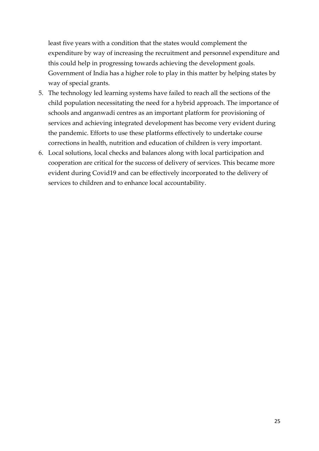least five years with a condition that the states would complement the expenditure by way of increasing the recruitment and personnel expenditure and this could help in progressing towards achieving the development goals. Government of India has a higher role to play in this matter by helping states by way of special grants.

- 5. The technology led learning systems have failed to reach all the sections of the child population necessitating the need for a hybrid approach. The importance of schools and anganwadi centres as an important platform for provisioning of services and achieving integrated development has become very evident during the pandemic. Efforts to use these platforms effectively to undertake course corrections in health, nutrition and education of children is very important.
- 6. Local solutions, local checks and balances along with local participation and cooperation are critical for the success of delivery of services. This became more evident during Covid19 and can be effectively incorporated to the delivery of services to children and to enhance local accountability.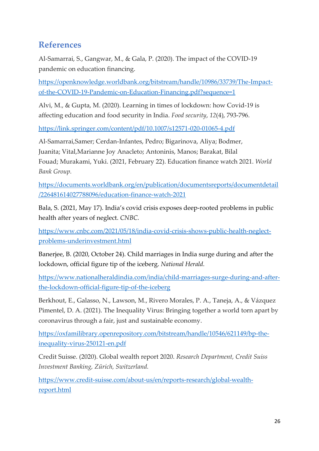## <span id="page-28-0"></span>**References**

Al-Samarrai, S., Gangwar, M., & Gala, P. (2020). The impact of the COVID-19 pandemic on education financing.

[https://openknowledge.worldbank.org/bitstream/handle/10986/33739/The-Impact](https://openknowledge.worldbank.org/bitstream/handle/10986/33739/The-Impact-of-the-COVID-19-Pandemic-on-Education-Financing.pdf?sequence=1)[of-the-COVID-19-Pandemic-on-Education-Financing.pdf?sequence=1](https://openknowledge.worldbank.org/bitstream/handle/10986/33739/The-Impact-of-the-COVID-19-Pandemic-on-Education-Financing.pdf?sequence=1)

Alvi, M., & Gupta, M. (2020). Learning in times of lockdown: how Covid-19 is affecting education and food security in India. *Food security*, *12*(4), 793-796.

<https://link.springer.com/content/pdf/10.1007/s12571-020-01065-4.pdf>

Al-Samarrai,Samer; Cerdan-Infantes, Pedro; Bigarinova, Aliya; Bodmer, Juanita; Vital,Marianne Joy Anacleto; Antoninis, Manos; Barakat, Bilal Fouad; Murakami, Yuki. (2021, February 22). Education finance watch 2021. *World Bank Group.*

[https://documents.worldbank.org/en/publication/documentsreports/documentdetail](https://documents.worldbank.org/en/publication/documentsreports/documentdetail/226481614027788096/education-finance-watch-2021) [/226481614027788096/education-finance-watch-2021](https://documents.worldbank.org/en/publication/documentsreports/documentdetail/226481614027788096/education-finance-watch-2021)

Bala, S. (2021, May 17). India's covid crisis exposes deep-rooted problems in public health after years of neglect. *CNBC.*

[https://www.cnbc.com/2021/05/18/india-covid-crisis-shows-public-health-neglect](https://www.cnbc.com/2021/05/18/india-covid-crisis-shows-public-health-neglect-problems-underinvestment.html)[problems-underinvestment.html](https://www.cnbc.com/2021/05/18/india-covid-crisis-shows-public-health-neglect-problems-underinvestment.html)

Banerjee, B. (2020, October 24). Child marriages in India surge during and after the lockdown, official figure tip of the iceberg. *National Herald.*

[https://www.nationalheraldindia.com/india/child-marriages-surge-during-and-after](https://www.nationalheraldindia.com/india/child-marriages-surge-during-and-after-the-lockdown-official-figure-tip-of-the-iceberg)[the-lockdown-official-figure-tip-of-the-iceberg](https://www.nationalheraldindia.com/india/child-marriages-surge-during-and-after-the-lockdown-official-figure-tip-of-the-iceberg)

Berkhout, E., Galasso, N., Lawson, M., Rivero Morales, P. A., Taneja, A., & Vázquez Pimentel, D. A. (2021). The Inequality Virus: Bringing together a world torn apart by coronavirus through a fair, just and sustainable economy.

[https://oxfamilibrary.openrepository.com/bitstream/handle/10546/621149/bp-the](https://oxfamilibrary.openrepository.com/bitstream/handle/10546/621149/bp-the-inequality-virus-250121-en.pdf)[inequality-virus-250121-en.pdf](https://oxfamilibrary.openrepository.com/bitstream/handle/10546/621149/bp-the-inequality-virus-250121-en.pdf)

Credit Suisse. (2020). Global wealth report 2020. *Research Department, Credit Suiss Investment Banking, Zürich, Switzerland.*

[https://www.credit-suisse.com/about-us/en/reports-research/global-wealth](https://www.credit-suisse.com/about-us/en/reports-research/global-wealth-report.html)[report.html](https://www.credit-suisse.com/about-us/en/reports-research/global-wealth-report.html)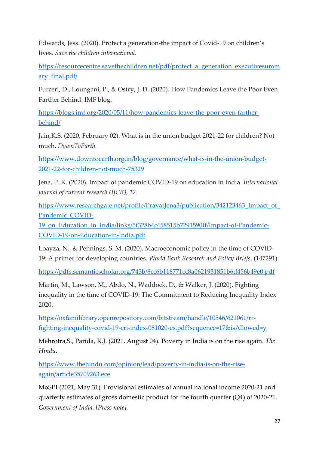Edwards, Jess. (2020). Protect a generation-the impact of Covid-19 on children's lives. *Save the children international.*

[https://resourcecentre.savethechildren.net/pdf/protect\\_a\\_generation\\_executivesumm](https://resourcecentre.savethechildren.net/pdf/protect_a_generation_executivesummary_final.pdf/) [ary\\_final.pdf/](https://resourcecentre.savethechildren.net/pdf/protect_a_generation_executivesummary_final.pdf/)

Furceri, D., Loungani, P., & Ostry, J. D. (2020). How Pandemics Leave the Poor Even Farther Behind. IMF blog.

[https://blogs.imf.org/2020/05/11/how-pandemics-leave-the-poor-even-farther](https://blogs.imf.org/2020/05/11/how-pandemics-leave-the-poor-even-farther-behind/)[behind/](https://blogs.imf.org/2020/05/11/how-pandemics-leave-the-poor-even-farther-behind/)

Jain,K.S. (2020, February 02). What is in the union budget 2021-22 for children? Not much. *DownToEarth.*

[https://www.downtoearth.org.in/blog/governance/what-is-in-the-union-budget-](https://www.downtoearth.org.in/blog/governance/what-is-in-the-union-budget-2021-22-for-children-not-much-75329)[2021-22-for-children-not-much-75329](https://www.downtoearth.org.in/blog/governance/what-is-in-the-union-budget-2021-22-for-children-not-much-75329)

Jena, P. K. (2020). Impact of pandemic COVID-19 on education in India. *International journal of current research (IJCR)*, *12*.

https://www.researchgate.net/profile/PravatJena3/publication/342123463 Impact of [Pandemic\\_COVID-](https://www.researchgate.net/profile/PravatJena3/publication/342123463_Impact_of_Pandemic_COVID-19_on_Education_in_India/links/5f328b4c458515b7291590ff/Impact-of-Pandemic-COVID-19-on-Education-in-India.pdf)

[19\\_on\\_Education\\_in\\_India/links/5f328b4c458515b7291590ff/Impact-of-Pandemic-](https://www.researchgate.net/profile/PravatJena3/publication/342123463_Impact_of_Pandemic_COVID-19_on_Education_in_India/links/5f328b4c458515b7291590ff/Impact-of-Pandemic-COVID-19-on-Education-in-India.pdf)[COVID-19-on-Education-in-India.pdf](https://www.researchgate.net/profile/PravatJena3/publication/342123463_Impact_of_Pandemic_COVID-19_on_Education_in_India/links/5f328b4c458515b7291590ff/Impact-of-Pandemic-COVID-19-on-Education-in-India.pdf)

Loayza, N., & Pennings, S. M. (2020). Macroeconomic policy in the time of COVID-19: A primer for developing countries. *World Bank Research and Policy Briefs*, (147291).

<https://pdfs.semanticscholar.org/743b/8cc6b118771cc8a0621931851b6d456b49e0.pdf>

Martin, M., Lawson, M., Abdo, N., Waddock, D., & Walker, J. (2020). Fighting inequality in the time of COVID-19: The Commitment to Reducing Inequality Index 2020.

[https://oxfamilibrary.openrepository.com/bitstream/handle/10546/621061/rr](https://oxfamilibrary.openrepository.com/bitstream/handle/10546/621061/rr-fighting-inequality-covid-19-cri-index-081020-es.pdf?sequence=17&isAllowed=y)[fighting-inequality-covid-19-cri-index-081020-es.pdf?sequence=17&isAllowed=y](https://oxfamilibrary.openrepository.com/bitstream/handle/10546/621061/rr-fighting-inequality-covid-19-cri-index-081020-es.pdf?sequence=17&isAllowed=y)

Mehrotra,S., Parida, K.J. (2021, August 04). Poverty in India is on the rise again. *The Hindu.*

[https://www.thehindu.com/opinion/lead/poverty-in-india-is-on-the-rise](https://www.thehindu.com/opinion/lead/poverty-in-india-is-on-the-rise-again/article35709263.ece)[again/article35709263.ece](https://www.thehindu.com/opinion/lead/poverty-in-india-is-on-the-rise-again/article35709263.ece)

MoSPI (2021, May 31). Provisional estimates of annual national income 2020-21 and quarterly estimates of gross domestic product for the fourth quarter (Q4) of 2020-21. *Government of India. [Press note].*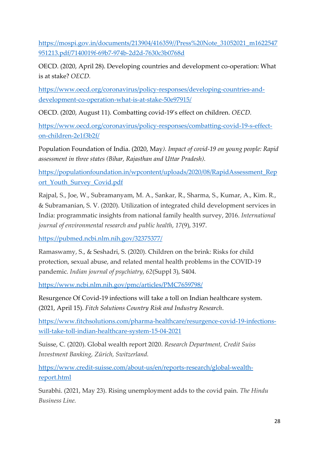[https://mospi.gov.in/documents/213904/416359//Press%20Note\\_31052021\\_m1622547](https://mospi.gov.in/documents/213904/416359/Press%20Note_31052021_m1622547951213.pdf/7140019f-69b7-974b-2d2d-7630c3b0768d) [951213.pdf/7140019f-69b7-974b-2d2d-7630c3b0768d](https://mospi.gov.in/documents/213904/416359/Press%20Note_31052021_m1622547951213.pdf/7140019f-69b7-974b-2d2d-7630c3b0768d)

OECD. (2020, April 28). Developing countries and development co-operation: What is at stake? *OECD.*

[https://www.oecd.org/coronavirus/policy-responses/developing-countries-and](https://www.oecd.org/coronavirus/policy-responses/developing-countries-and-development-co-operation-what-is-at-stake-50e97915/)[development-co-operation-what-is-at-stake-50e97915/](https://www.oecd.org/coronavirus/policy-responses/developing-countries-and-development-co-operation-what-is-at-stake-50e97915/)

OECD. (2020, August 11). Combatting covid-19's effect on children. *OECD.*

[https://www.oecd.org/coronavirus/policy-responses/combatting-covid-19-s-effect](https://www.oecd.org/coronavirus/policy-responses/combatting-covid-19-s-effect-on-children-2e1f3b2f/)[on-children-2e1f3b2f/](https://www.oecd.org/coronavirus/policy-responses/combatting-covid-19-s-effect-on-children-2e1f3b2f/)

Population Foundation of India. (2020, May*). Impact of covid-19 on young people: Rapid assessment in three states (Bihar, Rajasthan and Uttar Pradesh).*

[https://populationfoundation.in/wpcontent/uploads/2020/08/RapidAssessment\\_Rep](https://populationfoundation.in/wpcontent/uploads/2020/08/RapidAssessment_Report_Youth_Survey_Covid.pdf) ort Youth Survey Covid.pdf

Rajpal, S., Joe, W., Subramanyam, M. A., Sankar, R., Sharma, S., Kumar, A., Kim. R., & Subramanian, S. V. (2020). Utilization of integrated child development services in India: programmatic insights from national family health survey, 2016. *International journal of environmental research and public health*, *17*(9), 3197.

<https://pubmed.ncbi.nlm.nih.gov/32375377/>

Ramaswamy, S., & Seshadri, S. (2020). Children on the brink: Risks for child protection, sexual abuse, and related mental health problems in the COVID-19 pandemic. *Indian journal of psychiatry*, *62*(Suppl 3), S404.

<https://www.ncbi.nlm.nih.gov/pmc/articles/PMC7659798/>

Resurgence Of Covid-19 infections will take a toll on Indian healthcare system. (2021, April 15). *Fitch Solutions Country Risk and Industry Research*.

[https://www.fitchsolutions.com/pharma-healthcare/resurgence-covid-19-infections](https://www.fitchsolutions.com/pharma-healthcare/resurgence-covid-19-infections-will-take-toll-indian-healthcare-system-15-04-2021)[will-take-toll-indian-healthcare-system-15-04-2021](https://www.fitchsolutions.com/pharma-healthcare/resurgence-covid-19-infections-will-take-toll-indian-healthcare-system-15-04-2021)

Suisse, C. (2020). Global wealth report 2020. *Research Department, Credit Suiss Investment Banking, Zürich, Switzerland.*

[https://www.credit-suisse.com/about-us/en/reports-research/global-wealth](https://www.credit-suisse.com/about-us/en/reports-research/global-wealth-report.html)[report.html](https://www.credit-suisse.com/about-us/en/reports-research/global-wealth-report.html)

Surabhi. (2021, May 23). Rising unemployment adds to the covid pain. *The Hindu Business Line.*